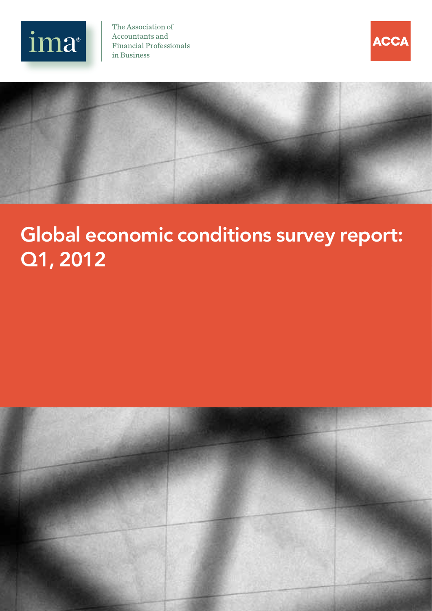

The Association of Accountants and **Financial Professionals** in Business





# Global economic conditions survey report: Q1, 2012

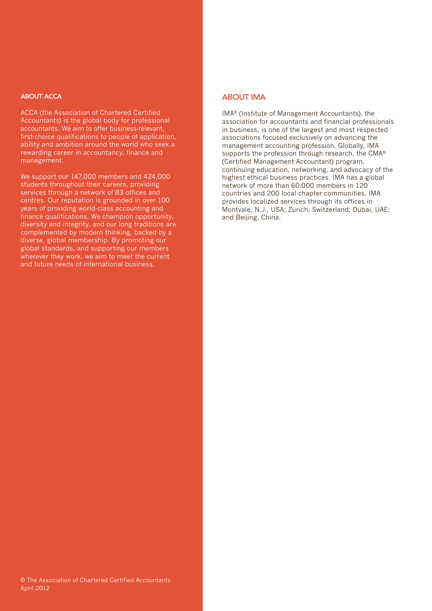#### ABOUT ACCA

ACCA (the Association of Chartered Certified Accountants) is the global body for professional accountants. We aim to offer business-relevant, first-choice qualifications to people of application, ability and ambition around the world who seek a rewarding career in accountancy, finance and management.

We support our 147,000 members and 424,000 students throughout their careers, providing services through a network of 83 offices and centres. Our reputation is grounded in over 100 years of providing world-class accounting and finance qualifications. We champion opportunity, diversity and integrity, and our long traditions are complemented by modern thinking, backed by a diverse, global membership. By promoting our global standards, and supporting our members wherever they work, we aim to meet the current and future needs of international business.

### ABOUT IMA

IMA® (Institute of Management Accountants), the association for accountants and financial professionals in business, is one of the largest and most respected associations focused exclusively on advancing the management accounting profession. Globally, IMA supports the profession through research, the CMA® (Certified Management Accountant) program, continuing education, networking, and advocacy of the highest ethical business practices. IMA has a global network of more than 60,000 members in 120 countries and 200 local chapter communities. IMA provides localized services through its offices in Montvale, N.J., USA; Zurich, Switzerland; Dubai, UAE; and Beijing, China.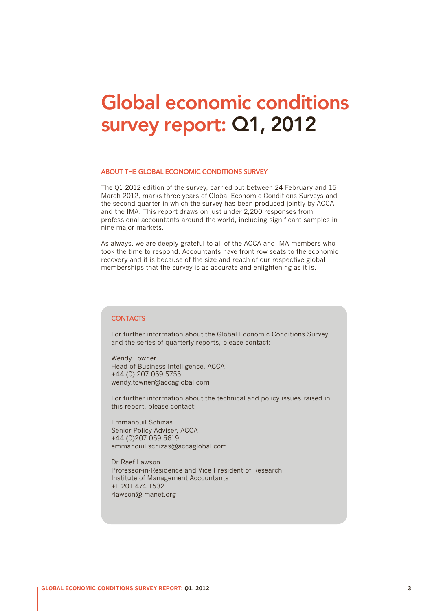## Global economic conditions survey report: Q1, 2012

#### ABOUT THE GLOBAL ECONOMIC CONDITIONS SURVEY

The Q1 2012 edition of the survey, carried out between 24 February and 15 March 2012, marks three years of Global Economic Conditions Surveys and the second quarter in which the survey has been produced jointly by ACCA and the IMA. This report draws on just under 2,200 responses from professional accountants around the world, including significant samples in nine major markets.

As always, we are deeply grateful to all of the ACCA and IMA members who took the time to respond. Accountants have front row seats to the economic recovery and it is because of the size and reach of our respective global memberships that the survey is as accurate and enlightening as it is.

#### **CONTACTS**

For further information about the Global Economic Conditions Survey and the series of quarterly reports, please contact:

Wendy Towner Head of Business Intelligence, ACCA +44 (0) 207 059 5755 wendy.towner@accaglobal.com

For further information about the technical and policy issues raised in this report, please contact:

Emmanouil Schizas Senior Policy Adviser, ACCA +44 (0)207 059 5619 emmanouil.schizas@accaglobal.com

Dr Raef Lawson Professor-in-Residence and Vice President of Research Institute of Management Accountants +1 201 474 1532 rlawson@imanet.org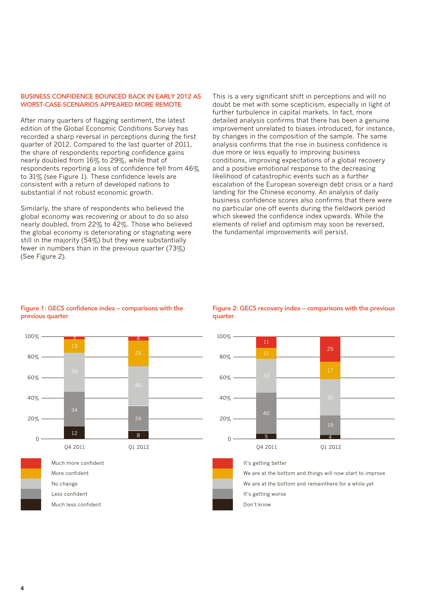#### BUSINESS CONFIDENCE BOUNCED BACK IN EARLY 2012 AS WORST-CASE-SCENARIOS APPEARED MORE REMOTE

After many quarters of flagging sentiment, the latest edition of the Global Economic Conditions Survey has recorded a sharp reversal in perceptions during the first quarter of 2012. Compared to the last quarter of 2011, the share of respondents reporting confidence gains nearly doubled from 16% to 29%, while that of respondents reporting a loss of confidence fell from 46% to 31% (see Figure 1). These confidence levels are consistent with a return of developed nations to substantial if not robust economic growth.

Similarly, the share of respondents who believed the global economy was recovering or about to do so also nearly doubled, from 22% to 42%. Those who believed the global economy is deteriorating or stagnating were still in the majority (54%) but they were substantially fewer in numbers than in the previous quarter (73%) (See Figure 2).

This is a very significant shift in perceptions and will no doubt be met with some scepticism, especially in light of further turbulence in capital markets. In fact, more detailed analysis confirms that there has been a genuine improvement unrelated to biases introduced, for instance, by changes in the composition of the sample. The same analysis confirms that the rise in business confidence is due more or less equally to improving business conditions, improving expectations of a global recovery and a positive emotional response to the decreasing likelihood of catastrophic events such as a further escalation of the European sovereign debt crisis or a hard landing for the Chinese economy. An analysis of daily business confidence scores also confirms that there were no particular one-off events during the fieldwork period which skewed the confidence index upwards. While the elements of relief and optimism may soon be reversed, the fundamental improvements will persist.

### 60% 80% 100% 13 3 4

Figure 1: GECS confidence index – comparisons with the

previous quarter



Much less confident Less confident No change More confident Much more confident

#### Figure 2: GECS recovery index – comparisons with the previous quarter



#### It's getting better

Don't know It's getting worse We are at the bottom and remainthere for a while yet We are at the bottom and things will now start to improve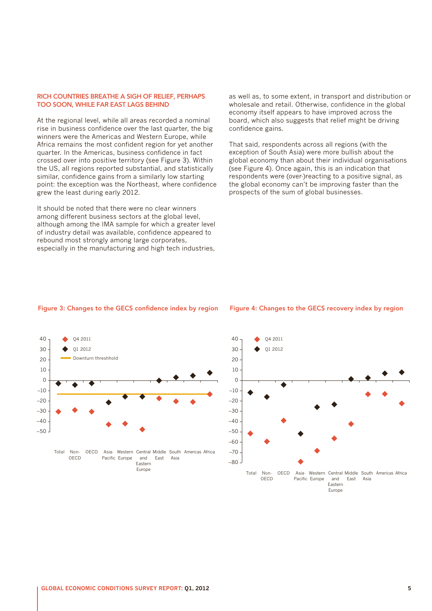#### RICH COUNTRIES BREATHE A SIGH OF RELIEF, PERHAPS TOO SOON, WHILE FAR EAST LAGS BEHIND

At the regional level, while all areas recorded a nominal rise in business confidence over the last quarter, the big winners were the Americas and Western Europe, while Africa remains the most confident region for yet another quarter. In the Americas, business confidence in fact crossed over into positive territory (see Figure 3). Within the US, all regions reported substantial, and statistically similar, confidence gains from a similarly low starting point: the exception was the Northeast, where confidence grew the least during early 2012.

It should be noted that there were no clear winners among different business sectors at the global level, although among the IMA sample for which a greater level of industry detail was available, confidence appeared to rebound most strongly among large corporates, especially in the manufacturing and high tech industries, as well as, to some extent, in transport and distribution or wholesale and retail. Otherwise, confidence in the global economy itself appears to have improved across the board, which also suggests that relief might be driving confidence gains.

That said, respondents across all regions (with the exception of South Asia) were more bullish about the global economy than about their individual organisations (see Figure 4). Once again, this is an indication that respondents were (over-)reacting to a positive signal, as the global economy can't be improving faster than the prospects of the sum of global businesses.

#### Figure 3: Changes to the GECS confidence index by region





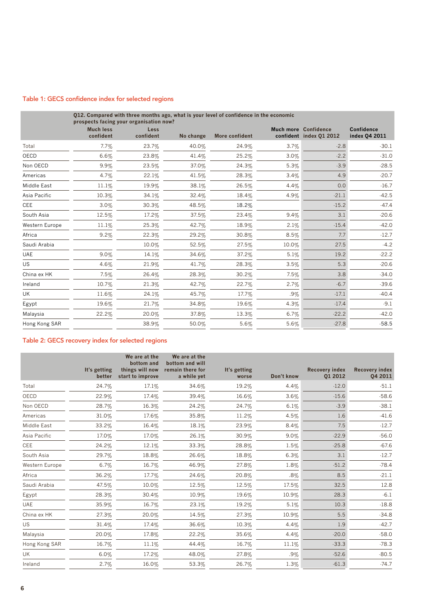#### Table 1: GECS confidence index for selected regions

|                | 012. Compared with three months ago, what is your level of confidence in the economic<br>prospects facing your organisation now? |                   |           |                |         |                                                        |                             |  |  |  |
|----------------|----------------------------------------------------------------------------------------------------------------------------------|-------------------|-----------|----------------|---------|--------------------------------------------------------|-----------------------------|--|--|--|
|                | <b>Much less</b><br>confident                                                                                                    | Less<br>confident | No change | More confident |         | <b>Much more Confidence</b><br>confident index 01 2012 | Confidence<br>index 04 2011 |  |  |  |
| Total          | 7.7%                                                                                                                             | 23.7%             | 40.0%     | 24.9%          | 3.7%    | $-2.8$                                                 | $-30.1$                     |  |  |  |
| OECD           | 6.6%                                                                                                                             | 23.8%             | 41.4%     | 25.2%          | 3.0%    | $-2.2$                                                 | $-31.0$                     |  |  |  |
| Non OECD       | 9.9%                                                                                                                             | 23.5%             | 37.0%     | 24.3%          | 5.3%    | $-3.9$                                                 | $-28.5$                     |  |  |  |
| Americas       | 4.7%                                                                                                                             | 22.1%             | 41.5%     | 28.3%          | 3.4%    | 4.9                                                    | $-20.7$                     |  |  |  |
| Middle East    | 11.1%                                                                                                                            | 19.9%             | 38.1%     | 26.5%          | 4.4%    | 0.0                                                    | $-16.7$                     |  |  |  |
| Asia Pacific   | 10.3%                                                                                                                            | 34.1%             | 32.4%     | 18.4%          | $4.9\%$ | $-21.1$                                                | $-42.5$                     |  |  |  |
| <b>CEE</b>     | 3.0%                                                                                                                             | 30.3%             | 48.5%     | 18.2%          |         | $-15.2$                                                | $-47.4$                     |  |  |  |
| South Asia     | 12.5%                                                                                                                            | 17.2%             | 37.5%     | 23.4%          | 9.4%    | 3.1                                                    | $-20.6$                     |  |  |  |
| Western Europe | 11.1%                                                                                                                            | 25.3%             | 42.7%     | 18.9%          | 2.1%    | $-15.4$                                                | $-42.0$                     |  |  |  |
| Africa         | 9.2%                                                                                                                             | 22.3%             | 29.2%     | 30.8%          | 8.5%    | 7.7                                                    | $-12.7$                     |  |  |  |
| Saudi Arabia   |                                                                                                                                  | 10.0%             | 52.5%     | 27.5%          | 10.0%   | 27.5                                                   | $-4.2$                      |  |  |  |
| <b>UAE</b>     | 9.0%                                                                                                                             | 14.1%             | 34.6%     | 37.2%          | 5.1%    | 19.2                                                   | $-22.2$                     |  |  |  |
| <b>US</b>      | 4.6%                                                                                                                             | 21.9%             | 41.7%     | 28.3%          | 3.5%    | 5.3                                                    | $-20.6$                     |  |  |  |
| China ex HK    | 7.5%                                                                                                                             | 26.4%             | 28.3%     | 30.2%          | 7.5%    | 3.8                                                    | $-34.0$                     |  |  |  |
| Ireland        | 10.7%                                                                                                                            | 21.3%             | 42.7%     | 22.7%          | 2.7%    | $-6.7$                                                 | $-39.6$                     |  |  |  |
| UK             | 11.6%                                                                                                                            | 24.1%             | 45.7%     | 17.7%          | $.9\%$  | $-17.1$                                                | $-40.4$                     |  |  |  |
| Egypt          | 19.6%                                                                                                                            | 21.7%             | 34.8%     | 19.6%          | 4.3%    | $-17.4$                                                | $-9.1$                      |  |  |  |
| Malaysia       | 22.2%                                                                                                                            | 20.0%             | 37.8%     | 13.3%          | 6.7%    | $-22.2$                                                | $-42.0$                     |  |  |  |
| Hong Kong SAR  |                                                                                                                                  | 38.9%             | 50.0%     | 5.6%           | 5.6%    | $-27.8$                                                | $-58.5$                     |  |  |  |

### Table 2: GECS recovery index for selected regions

|                | It's getting<br>better | We are at the<br>bottom and<br>things will now<br>start to improve | We are at the<br>bottom and will<br>remain there for<br>a while yet |                       |            |                                  |                                  |
|----------------|------------------------|--------------------------------------------------------------------|---------------------------------------------------------------------|-----------------------|------------|----------------------------------|----------------------------------|
|                |                        |                                                                    |                                                                     | It's getting<br>worse | Don't know | <b>Recovery index</b><br>01 2012 | <b>Recovery index</b><br>Q4 2011 |
| Total          | 24.7%                  | 17.1%                                                              | 34.6%                                                               | 19.2%                 | 4.4%       | $-12.0$                          | $-51.1$                          |
| OECD           | 22.9%                  | 17.4%                                                              | 39.4%                                                               | 16.6%                 | 3.6%       | $-15.6$                          | $-58.6$                          |
| Non OECD       | 28.7%                  | 16.3%                                                              | 24.2%                                                               | 24.7%                 | 6.1%       | $-3.9$                           | $-38.1$                          |
| Americas       | 31.0%                  | 17.6%                                                              | 35.8%                                                               | 11.2%                 | 4.5%       | 1.6                              | $-41.6$                          |
| Middle East    | 33.2%                  | 16.4%                                                              | 18.1%                                                               | 23.9%                 | 8.4%       | 7.5                              | $-12.7$                          |
| Asia Pacific   | 17.0%                  | 17.0%                                                              | 26.1%                                                               | 30.9%                 | 9.0%       | $-22.9$                          | $-56.0$                          |
| <b>CEE</b>     | 24.2%                  | 12.1%                                                              | 33.3%                                                               | 28.8%                 | 1.5%       | $-25.8$                          | $-67.6$                          |
| South Asia     | 29.7%                  | 18.8%                                                              | 26.6%                                                               | 18.8%                 | 6.3%       | 3.1                              | $-12.7$                          |
| Western Europe | 6.7%                   | 16.7%                                                              | 46.9%                                                               | 27.8%                 | 1.8%       | $-51.2$                          | $-78.4$                          |
| Africa         | 36.2%                  | 17.7%                                                              | 24.6%                                                               | 20.8%                 | $.8\%$     | 8.5                              | $-21.1$                          |
| Saudi Arabia   | 47.5%                  | 10.0%                                                              | 12.5%                                                               | 12.5%                 | 17.5%      | 32.5                             | 12.8                             |
| Egypt          | 28.3%                  | 30.4%                                                              | 10.9%                                                               | 19.6%                 | 10.9%      | 28.3                             | $-6.1$                           |
| <b>UAE</b>     | 35.9%                  | 16.7%                                                              | 23.1%                                                               | 19.2%                 | 5.1%       | 10.3                             | $-18.8$                          |
| China ex HK    | 27.3%                  | 20.0%                                                              | 14.5%                                                               | 27.3%                 | 10.9%      | 5.5                              | $-34.8$                          |
| <b>US</b>      | 31.4%                  | 17.4%                                                              | 36.6%                                                               | 10.3%                 | 4.4%       | 1.9                              | $-42.7$                          |
| Malaysia       | 20.0%                  | 17.8%                                                              | 22.2%                                                               | 35.6%                 | 4.4%       | $-20.0$                          | $-58.0$                          |
| Hong Kong SAR  | 16.7%                  | 11.1%                                                              | 44.4%                                                               | 16.7%                 | 11.1%      | $-33.3$                          | $-78.3$                          |
| UK             | 6.0%                   | 17.2%                                                              | 48.0%                                                               | 27.8%                 | $.9\%$     | $-52.6$                          | $-80.5$                          |
| Ireland        | 2.7%                   | 16.0%                                                              | 53.3%                                                               | 26.7%                 | 1.3%       | $-61.3$                          | $-74.7$                          |
|                |                        |                                                                    |                                                                     |                       |            |                                  |                                  |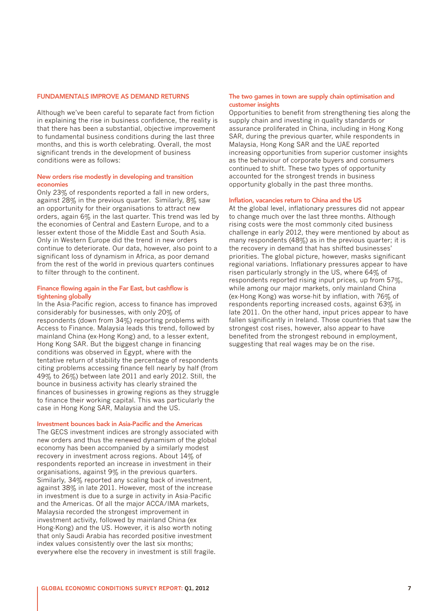#### FUNDAMENTALS IMPROVE AS DEMAND RETURNS

Although we've been careful to separate fact from fiction in explaining the rise in business confidence, the reality is that there has been a substantial, objective improvement to fundamental business conditions during the last three months, and this is worth celebrating. Overall, the most significant trends in the development of business conditions were as follows:

#### New orders rise modestly in developing and transition economies

Only 23% of respondents reported a fall in new orders, against 28% in the previous quarter. Similarly, 8% saw an opportunity for their organisations to attract new orders, again 6% in the last quarter. This trend was led by the economies of Central and Eastern Europe, and to a lesser extent those of the Middle East and South Asia. Only in Western Europe did the trend in new orders continue to deteriorate. Our data, however, also point to a significant loss of dynamism in Africa, as poor demand from the rest of the world in previous quarters continues to filter through to the continent.

#### Finance flowing again in the Far East, but cashflow is tightening globally

In the Asia-Pacific region, access to finance has improved considerably for businesses, with only 20% of respondents (down from 34%) reporting problems with Access to Finance. Malaysia leads this trend, followed by mainland China (ex-Hong Kong) and, to a lesser extent, Hong Kong SAR. But the biggest change in financing conditions was observed in Egypt, where with the tentative return of stability the percentage of respondents citing problems accessing finance fell nearly by half (from 49% to 26%) between late 2011 and early 2012. Still, the bounce in business activity has clearly strained the finances of businesses in growing regions as they struggle to finance their working capital. This was particularly the case in Hong Kong SAR, Malaysia and the US.

#### Investment bounces back in Asia-Pacific and the Americas

The GECS investment indices are strongly associated with new orders and thus the renewed dynamism of the global economy has been accompanied by a similarly modest recovery in investment across regions. About 14% of respondents reported an increase in investment in their organisations, against 9% in the previous quarters. Similarly, 34% reported any scaling back of investment, against 38% in late 2011. However, most of the increase in investment is due to a surge in activity in Asia-Pacific and the Americas. Of all the major ACCA/IMA markets, Malaysia recorded the strongest improvement in investment activity, followed by mainland China (ex Hong-Kong) and the US. However, it is also worth noting that only Saudi Arabia has recorded positive investment index values consistently over the last six months; everywhere else the recovery in investment is still fragile.

#### The two games in town are supply chain optimisation and customer insights

Opportunities to benefit from strengthening ties along the supply chain and investing in quality standards or assurance proliferated in China, including in Hong Kong SAR, during the previous quarter, while respondents in Malaysia, Hong Kong SAR and the UAE reported increasing opportunities from superior customer insights as the behaviour of corporate buyers and consumers continued to shift. These two types of opportunity accounted for the strongest trends in business opportunity globally in the past three months.

#### Inflation, vacancies return to China and the US

At the global level, inflationary pressures did not appear to change much over the last three months. Although rising costs were the most commonly cited business challenge in early 2012, they were mentioned by about as many respondents (48%) as in the previous quarter; it is the recovery in demand that has shifted businesses' priorities. The global picture, however, masks significant regional variations. Inflationary pressures appear to have risen particularly strongly in the US, where 64% of respondents reported rising input prices, up from 57%, while among our major markets, only mainland China (ex-Hong Kong) was worse-hit by inflation, with 76% of respondents reporting increased costs, against 63% in late 2011. On the other hand, input prices appear to have fallen significantly in Ireland. Those countries that saw the strongest cost rises, however, also appear to have benefited from the strongest rebound in employment, suggesting that real wages may be on the rise.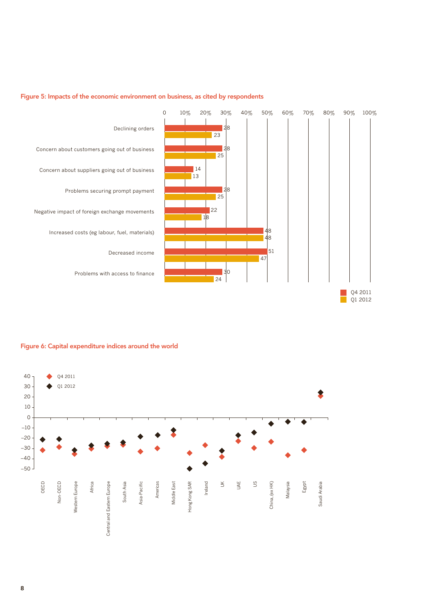

#### Figure 5: Impacts of the economic environment on business, as cited by respondents

Figure 6: Capital expenditure indices around the world

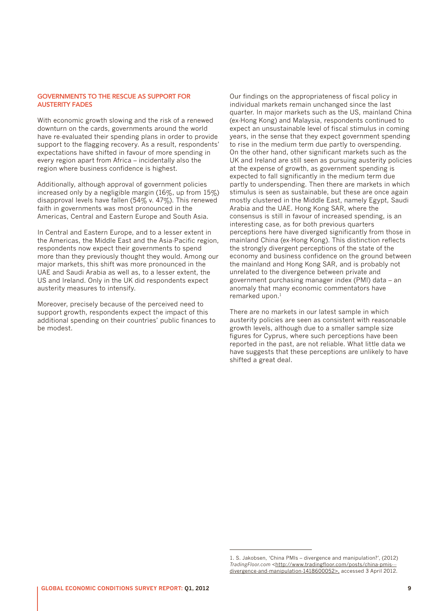#### GOVERNMENTS TO THE RESCUE AS SUPPORT FOR AUSTERITY FADES

With economic growth slowing and the risk of a renewed downturn on the cards, governments around the world have re-evaluated their spending plans in order to provide support to the flagging recovery. As a result, respondents' expectations have shifted in favour of more spending in every region apart from Africa – incidentally also the region where business confidence is highest.

Additionally, although approval of government policies increased only by a negligible margin (16%, up from 15%) disapproval levels have fallen (54% v. 47%). This renewed faith in governments was most pronounced in the Americas, Central and Eastern Europe and South Asia.

In Central and Eastern Europe, and to a lesser extent in the Americas, the Middle East and the Asia-Pacific region, respondents now expect their governments to spend more than they previously thought they would. Among our major markets, this shift was more pronounced in the UAE and Saudi Arabia as well as, to a lesser extent, the US and Ireland. Only in the UK did respondents expect austerity measures to intensify.

Moreover, precisely because of the perceived need to support growth, respondents expect the impact of this additional spending on their countries' public finances to be modest.

Our findings on the appropriateness of fiscal policy in individual markets remain unchanged since the last quarter. In major markets such as the US, mainland China (ex-Hong Kong) and Malaysia, respondents continued to expect an unsustainable level of fiscal stimulus in coming years, in the sense that they expect government spending to rise in the medium term due partly to overspending. On the other hand, other significant markets such as the UK and Ireland are still seen as pursuing austerity policies at the expense of growth, as government spending is expected to fall significantly in the medium term due partly to underspending. Then there are markets in which stimulus is seen as sustainable, but these are once again mostly clustered in the Middle East, namely Egypt, Saudi Arabia and the UAE. Hong Kong SAR, where the consensus is still in favour of increased spending, is an interesting case, as for both previous quarters perceptions here have diverged significantly from those in mainland China (ex-Hong Kong). This distinction reflects the strongly divergent perceptions of the state of the economy and business confidence on the ground between the mainland and Hong Kong SAR, and is probably not unrelated to the divergence between private and government purchasing manager index (PMI) data – an anomaly that many economic commentators have remarked upon.<sup>1</sup>

There are no markets in our latest sample in which austerity policies are seen as consistent with reasonable growth levels, although due to a smaller sample size figures for Cyprus, where such perceptions have been reported in the past, are not reliable. What little data we have suggests that these perceptions are unlikely to have shifted a great deal.

<sup>1.</sup> S. Jakobsen, 'China PMIs – divergence and manipulation?', (2012) *TradingFloor.com* <[http://www.tradingfloor.com/posts/china-pmis--](http://www.tradingfloor.com/posts/china-pmis---divergence-and-manipulation-1418600052) [divergence-and-manipulation-1418600052](http://www.tradingfloor.com/posts/china-pmis---divergence-and-manipulation-1418600052)>, accessed 3 April 2012.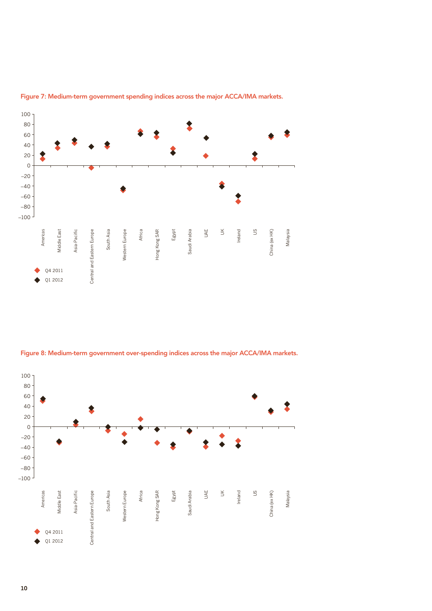

Figure 7: Medium-term government spending indices across the major ACCA/IMA markets.



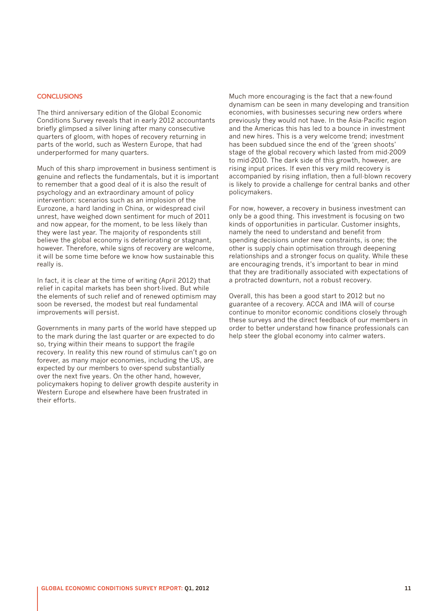#### **CONCLUSIONS**

The third anniversary edition of the Global Economic Conditions Survey reveals that in early 2012 accountants briefly glimpsed a silver lining after many consecutive quarters of gloom, with hopes of recovery returning in parts of the world, such as Western Europe, that had underperformed for many quarters.

Much of this sharp improvement in business sentiment is genuine and reflects the fundamentals, but it is important to remember that a good deal of it is also the result of psychology and an extraordinary amount of policy intervention: scenarios such as an implosion of the Eurozone, a hard landing in China, or widespread civil unrest, have weighed down sentiment for much of 2011 and now appear, for the moment, to be less likely than they were last year. The majority of respondents still believe the global economy is deteriorating or stagnant, however. Therefore, while signs of recovery are welcome, it will be some time before we know how sustainable this really is.

In fact, it is clear at the time of writing (April 2012) that relief in capital markets has been short-lived. But while the elements of such relief and of renewed optimism may soon be reversed, the modest but real fundamental improvements will persist.

Governments in many parts of the world have stepped up to the mark during the last quarter or are expected to do so, trying within their means to support the fragile recovery. In reality this new round of stimulus can't go on forever, as many major economies, including the US, are expected by our members to over-spend substantially over the next five years. On the other hand, however, policymakers hoping to deliver growth despite austerity in Western Europe and elsewhere have been frustrated in their efforts.

Much more encouraging is the fact that a new-found dynamism can be seen in many developing and transition economies, with businesses securing new orders where previously they would not have. In the Asia-Pacific region and the Americas this has led to a bounce in investment and new hires. This is a very welcome trend; investment has been subdued since the end of the 'green shoots' stage of the global recovery which lasted from mid-2009 to mid-2010. The dark side of this growth, however, are rising input prices. If even this very mild recovery is accompanied by rising inflation, then a full-blown recovery is likely to provide a challenge for central banks and other policymakers.

For now, however, a recovery in business investment can only be a good thing. This investment is focusing on two kinds of opportunities in particular. Customer insights, namely the need to understand and benefit from spending decisions under new constraints, is one; the other is supply chain optimisation through deepening relationships and a stronger focus on quality. While these are encouraging trends, it's important to bear in mind that they are traditionally associated with expectations of a protracted downturn, not a robust recovery.

Overall, this has been a good start to 2012 but no guarantee of a recovery. ACCA and IMA will of course continue to monitor economic conditions closely through these surveys and the direct feedback of our members in order to better understand how finance professionals can help steer the global economy into calmer waters.